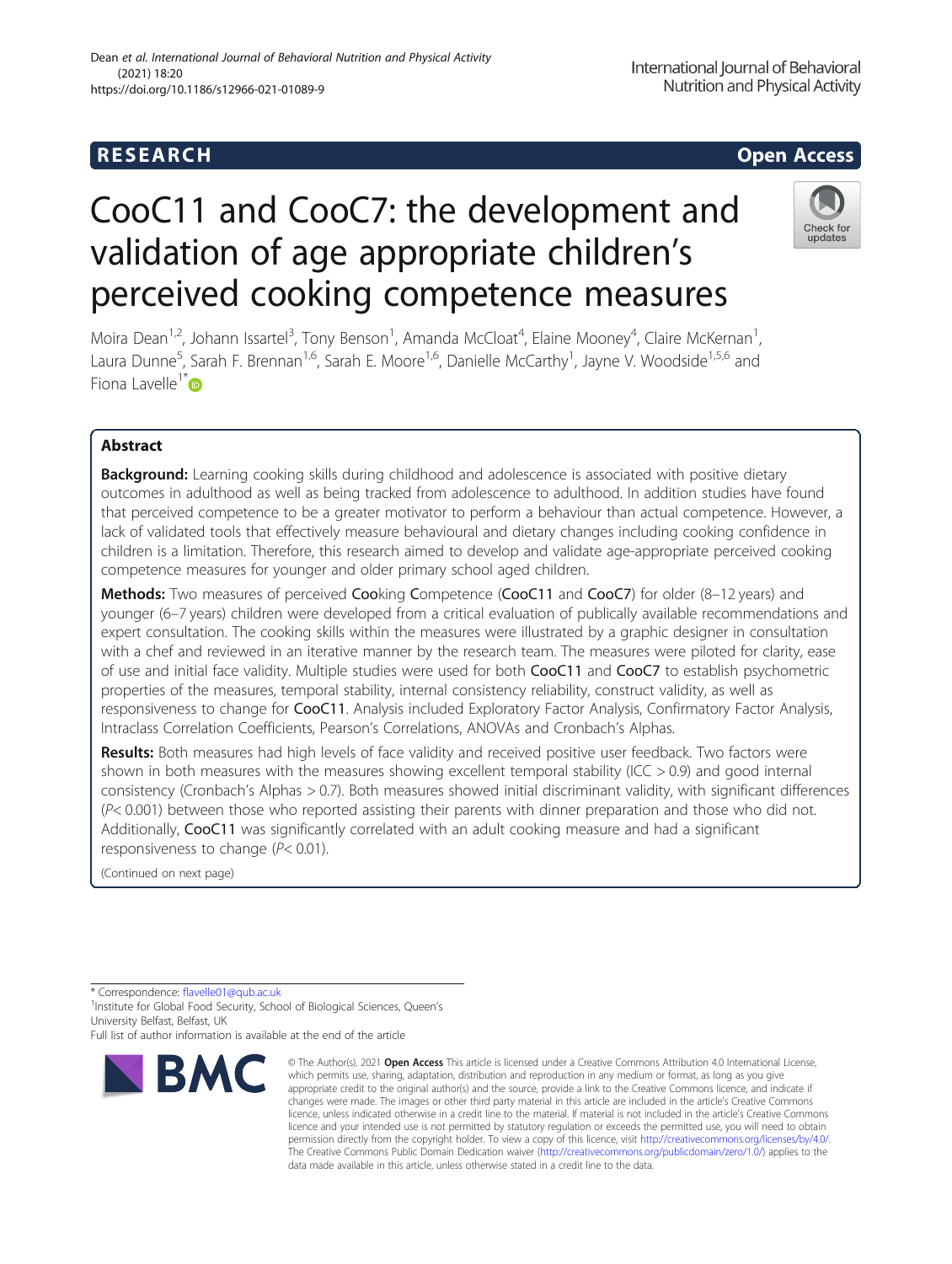International Journal of Behavioral Nutrition and Physical Activity

# CooC11 and CooC7: the development and validation of age appropriate children's perceived cooking competence measures



Moira Dean<sup>1,2</sup>, Johann Issartel<sup>3</sup>, Tony Benson<sup>1</sup>, Amanda McCloat<sup>4</sup>, Elaine Mooney<sup>4</sup>, Claire McKernan<sup>1</sup> , Laura Dunne<sup>5</sup>, Sarah F. Brennan<sup>1,6</sup>, Sarah E. Moore<sup>1,6</sup>, Danielle McCarthy<sup>1</sup>, Jayne V. Woodside<sup>1,5,6</sup> and Fiona Lavelle<sup>1\*</sup> $\bullet$ 

### Abstract

**Background:** Learning cooking skills during childhood and adolescence is associated with positive dietary outcomes in adulthood as well as being tracked from adolescence to adulthood. In addition studies have found that perceived competence to be a greater motivator to perform a behaviour than actual competence. However, a lack of validated tools that effectively measure behavioural and dietary changes including cooking confidence in children is a limitation. Therefore, this research aimed to develop and validate age-appropriate perceived cooking competence measures for younger and older primary school aged children.

Methods: Two measures of perceived Cooking Competence (CooC11 and CooC7) for older (8-12 years) and younger (6–7 years) children were developed from a critical evaluation of publically available recommendations and expert consultation. The cooking skills within the measures were illustrated by a graphic designer in consultation with a chef and reviewed in an iterative manner by the research team. The measures were piloted for clarity, ease of use and initial face validity. Multiple studies were used for both CooC11 and CooC7 to establish psychometric properties of the measures, temporal stability, internal consistency reliability, construct validity, as well as responsiveness to change for CooC11. Analysis included Exploratory Factor Analysis, Confirmatory Factor Analysis, Intraclass Correlation Coefficients, Pearson's Correlations, ANOVAs and Cronbach's Alphas.

Results: Both measures had high levels of face validity and received positive user feedback. Two factors were shown in both measures with the measures showing excellent temporal stability (ICC > 0.9) and good internal consistency (Cronbach's Alphas > 0.7). Both measures showed initial discriminant validity, with significant differences  $(P< 0.001)$  between those who reported assisting their parents with dinner preparation and those who did not. Additionally, CooC11 was significantly correlated with an adult cooking measure and had a significant responsiveness to change (P< 0.01).

(Continued on next page)

\* Correspondence: [flavelle01@qub.ac.uk](mailto:flavelle01@qub.ac.uk) <sup>1</sup>

<sup>1</sup> Institute for Global Food Security, School of Biological Sciences, Queen's University Belfast, Belfast, UK

Full list of author information is available at the end of the article



<sup>©</sup> The Author(s), 2021 **Open Access** This article is licensed under a Creative Commons Attribution 4.0 International License, which permits use, sharing, adaptation, distribution and reproduction in any medium or format, as long as you give appropriate credit to the original author(s) and the source, provide a link to the Creative Commons licence, and indicate if changes were made. The images or other third party material in this article are included in the article's Creative Commons licence, unless indicated otherwise in a credit line to the material. If material is not included in the article's Creative Commons licence and your intended use is not permitted by statutory regulation or exceeds the permitted use, you will need to obtain permission directly from the copyright holder. To view a copy of this licence, visit [http://creativecommons.org/licenses/by/4.0/.](http://creativecommons.org/licenses/by/4.0/) The Creative Commons Public Domain Dedication waiver [\(http://creativecommons.org/publicdomain/zero/1.0/](http://creativecommons.org/publicdomain/zero/1.0/)) applies to the data made available in this article, unless otherwise stated in a credit line to the data.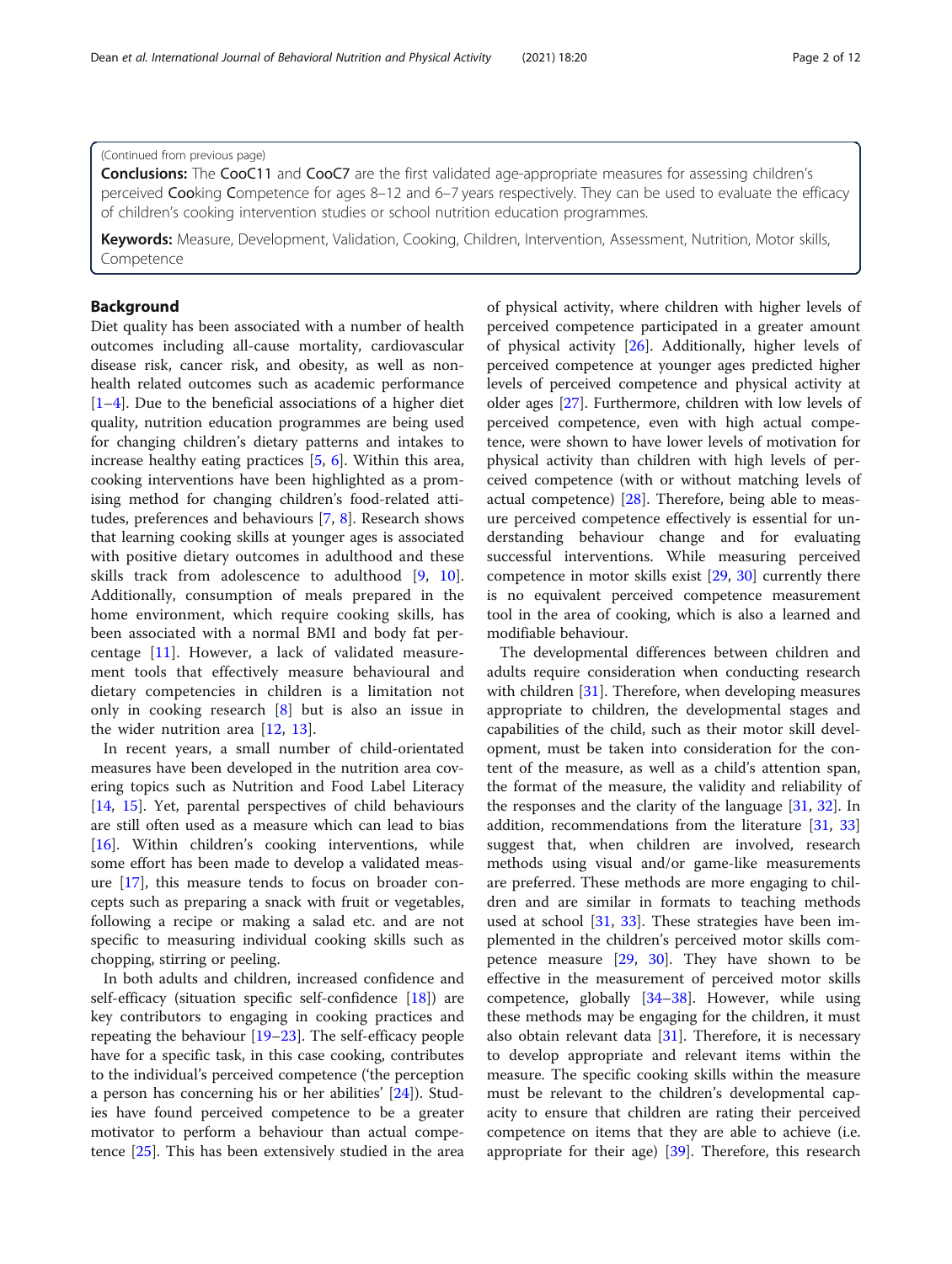#### (Continued from previous page)

**Conclusions:** The CooC11 and CooC7 are the first validated age-appropriate measures for assessing children's perceived Cooking Competence for ages 8–12 and 6–7 years respectively. They can be used to evaluate the efficacy of children's cooking intervention studies or school nutrition education programmes.

Keywords: Measure, Development, Validation, Cooking, Children, Intervention, Assessment, Nutrition, Motor skills, Competence

#### Background

Diet quality has been associated with a number of health outcomes including all-cause mortality, cardiovascular disease risk, cancer risk, and obesity, as well as nonhealth related outcomes such as academic performance  $[1-4]$  $[1-4]$  $[1-4]$  $[1-4]$ . Due to the beneficial associations of a higher diet quality, nutrition education programmes are being used for changing children's dietary patterns and intakes to increase healthy eating practices [[5,](#page-10-0) [6](#page-10-0)]. Within this area, cooking interventions have been highlighted as a promising method for changing children's food-related attitudes, preferences and behaviours [\[7](#page-10-0), [8\]](#page-10-0). Research shows that learning cooking skills at younger ages is associated with positive dietary outcomes in adulthood and these skills track from adolescence to adulthood [\[9](#page-10-0), [10](#page-10-0)]. Additionally, consumption of meals prepared in the home environment, which require cooking skills, has been associated with a normal BMI and body fat percentage [[11](#page-10-0)]. However, a lack of validated measurement tools that effectively measure behavioural and dietary competencies in children is a limitation not only in cooking research [\[8](#page-10-0)] but is also an issue in the wider nutrition area [\[12](#page-10-0), [13\]](#page-10-0).

In recent years, a small number of child-orientated measures have been developed in the nutrition area covering topics such as Nutrition and Food Label Literacy [[14,](#page-11-0) [15](#page-11-0)]. Yet, parental perspectives of child behaviours are still often used as a measure which can lead to bias [[16\]](#page-11-0). Within children's cooking interventions, while some effort has been made to develop a validated measure [[17\]](#page-11-0), this measure tends to focus on broader concepts such as preparing a snack with fruit or vegetables, following a recipe or making a salad etc. and are not specific to measuring individual cooking skills such as chopping, stirring or peeling.

In both adults and children, increased confidence and self-efficacy (situation specific self-confidence [\[18\]](#page-11-0)) are key contributors to engaging in cooking practices and repeating the behaviour [\[19](#page-11-0)–[23\]](#page-11-0). The self-efficacy people have for a specific task, in this case cooking, contributes to the individual's perceived competence ('the perception a person has concerning his or her abilities' [\[24](#page-11-0)]). Studies have found perceived competence to be a greater motivator to perform a behaviour than actual competence [\[25\]](#page-11-0). This has been extensively studied in the area of physical activity, where children with higher levels of perceived competence participated in a greater amount of physical activity [[26](#page-11-0)]. Additionally, higher levels of perceived competence at younger ages predicted higher levels of perceived competence and physical activity at older ages [[27\]](#page-11-0). Furthermore, children with low levels of perceived competence, even with high actual competence, were shown to have lower levels of motivation for physical activity than children with high levels of perceived competence (with or without matching levels of actual competence)  $[28]$  $[28]$  $[28]$ . Therefore, being able to measure perceived competence effectively is essential for understanding behaviour change and for evaluating successful interventions. While measuring perceived competence in motor skills exist [[29](#page-11-0), [30\]](#page-11-0) currently there is no equivalent perceived competence measurement tool in the area of cooking, which is also a learned and modifiable behaviour.

The developmental differences between children and adults require consideration when conducting research with children [\[31](#page-11-0)]. Therefore, when developing measures appropriate to children, the developmental stages and capabilities of the child, such as their motor skill development, must be taken into consideration for the content of the measure, as well as a child's attention span, the format of the measure, the validity and reliability of the responses and the clarity of the language [\[31](#page-11-0), [32](#page-11-0)]. In addition, recommendations from the literature [\[31](#page-11-0), [33](#page-11-0)] suggest that, when children are involved, research methods using visual and/or game-like measurements are preferred. These methods are more engaging to children and are similar in formats to teaching methods used at school [[31](#page-11-0), [33](#page-11-0)]. These strategies have been implemented in the children's perceived motor skills competence measure [\[29,](#page-11-0) [30\]](#page-11-0). They have shown to be effective in the measurement of perceived motor skills competence, globally [[34](#page-11-0)–[38](#page-11-0)]. However, while using these methods may be engaging for the children, it must also obtain relevant data [[31\]](#page-11-0). Therefore, it is necessary to develop appropriate and relevant items within the measure. The specific cooking skills within the measure must be relevant to the children's developmental capacity to ensure that children are rating their perceived competence on items that they are able to achieve (i.e. appropriate for their age) [\[39](#page-11-0)]. Therefore, this research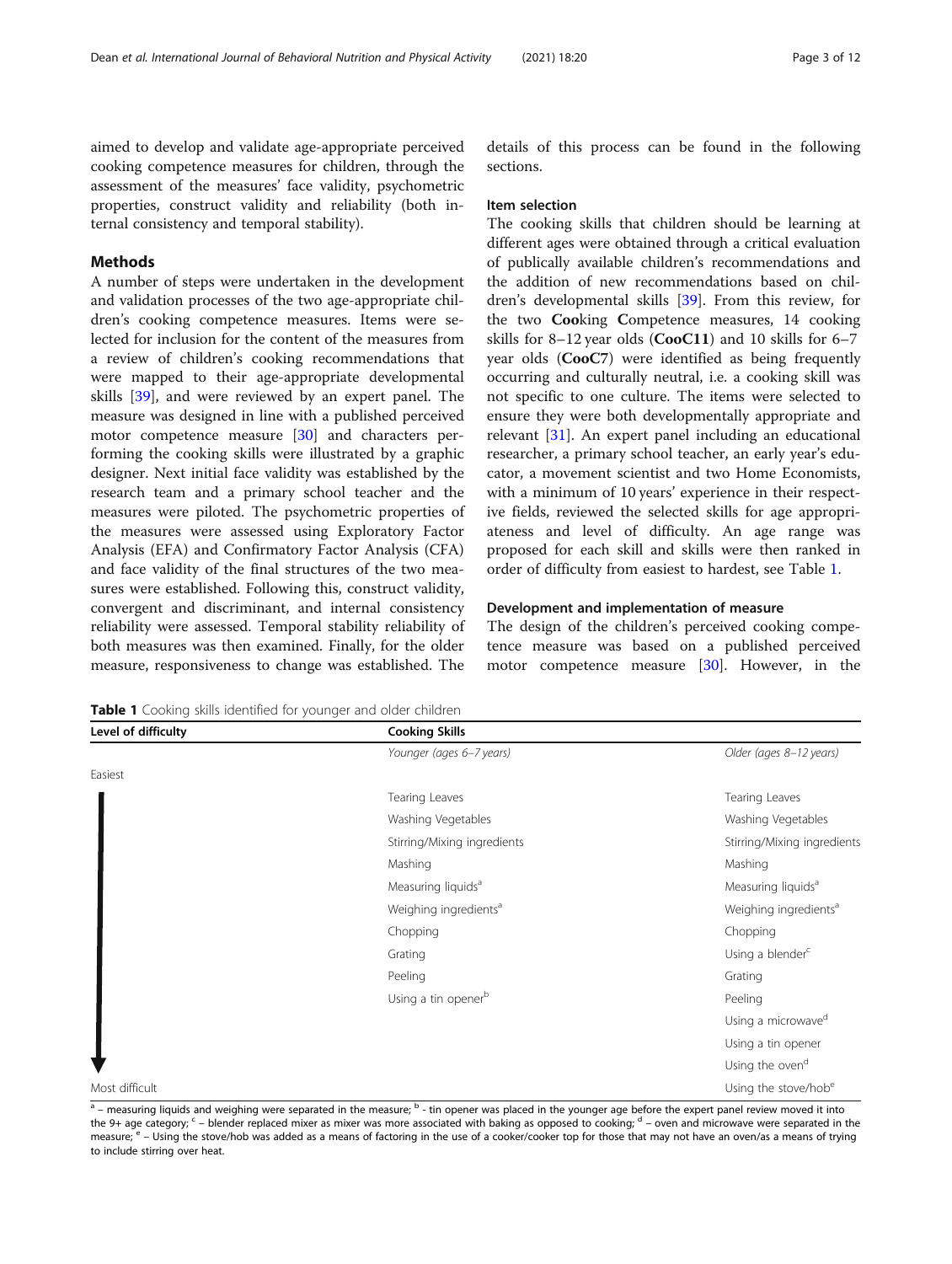aimed to develop and validate age-appropriate perceived cooking competence measures for children, through the assessment of the measures' face validity, psychometric properties, construct validity and reliability (both internal consistency and temporal stability).

#### Methods

A number of steps were undertaken in the development and validation processes of the two age-appropriate children's cooking competence measures. Items were selected for inclusion for the content of the measures from a review of children's cooking recommendations that were mapped to their age-appropriate developmental skills [\[39](#page-11-0)], and were reviewed by an expert panel. The measure was designed in line with a published perceived motor competence measure [\[30\]](#page-11-0) and characters performing the cooking skills were illustrated by a graphic designer. Next initial face validity was established by the research team and a primary school teacher and the measures were piloted. The psychometric properties of the measures were assessed using Exploratory Factor Analysis (EFA) and Confirmatory Factor Analysis (CFA) and face validity of the final structures of the two measures were established. Following this, construct validity, convergent and discriminant, and internal consistency reliability were assessed. Temporal stability reliability of both measures was then examined. Finally, for the older measure, responsiveness to change was established. The

details of this process can be found in the following sections.

#### Item selection

The cooking skills that children should be learning at different ages were obtained through a critical evaluation of publically available children's recommendations and the addition of new recommendations based on children's developmental skills [[39\]](#page-11-0). From this review, for the two Cooking Competence measures, 14 cooking skills for 8–12 year olds (CooC11) and 10 skills for 6–7 year olds (CooC7) were identified as being frequently occurring and culturally neutral, i.e. a cooking skill was not specific to one culture. The items were selected to ensure they were both developmentally appropriate and relevant [\[31](#page-11-0)]. An expert panel including an educational researcher, a primary school teacher, an early year's educator, a movement scientist and two Home Economists, with a minimum of 10 years' experience in their respective fields, reviewed the selected skills for age appropriateness and level of difficulty. An age range was proposed for each skill and skills were then ranked in order of difficulty from easiest to hardest, see Table 1.

#### Development and implementation of measure

The design of the children's perceived cooking competence measure was based on a published perceived motor competence measure [\[30\]](#page-11-0). However, in the

**Table 1** Cooking skills identified for younger and older children

| Level of difficulty | <b>Cooking Skills</b>             |                                   |  |
|---------------------|-----------------------------------|-----------------------------------|--|
|                     | Younger (ages 6-7 years)          | Older (ages 8-12 years)           |  |
| Easiest             |                                   |                                   |  |
|                     | Tearing Leaves                    | Tearing Leaves                    |  |
|                     | Washing Vegetables                | Washing Vegetables                |  |
|                     | Stirring/Mixing ingredients       | Stirring/Mixing ingredients       |  |
|                     | Mashing                           | Mashing                           |  |
|                     | Measuring liquids <sup>a</sup>    | Measuring liquids <sup>a</sup>    |  |
|                     | Weighing ingredients <sup>a</sup> | Weighing ingredients <sup>a</sup> |  |
|                     | Chopping                          | Chopping                          |  |
|                     | Grating                           | Using a blender <sup>c</sup>      |  |
|                     | Peeling                           | Grating                           |  |
|                     | Using a tin opener <sup>b</sup>   | Peeling                           |  |
|                     |                                   | Using a microwave <sup>d</sup>    |  |
|                     |                                   | Using a tin opener                |  |
|                     |                                   | Using the oven <sup>d</sup>       |  |
| Most difficult      |                                   | Using the stove/hobe              |  |

 $a$  – measuring liquids and weighing were separated in the measure;  $b$  - tin opener was placed in the younger age before the expert panel review moved it into the 9+ age category;  $c$  – blender replaced mixer as mixer was more associated with baking as opposed to cooking;  $d$  – oven and microwave were separated in the measure;  $e -$  Using the stove/hob was added as a means of factoring in the use of a cooker/cooker top for those that may not have an oven/as a means of trying to include stirring over heat.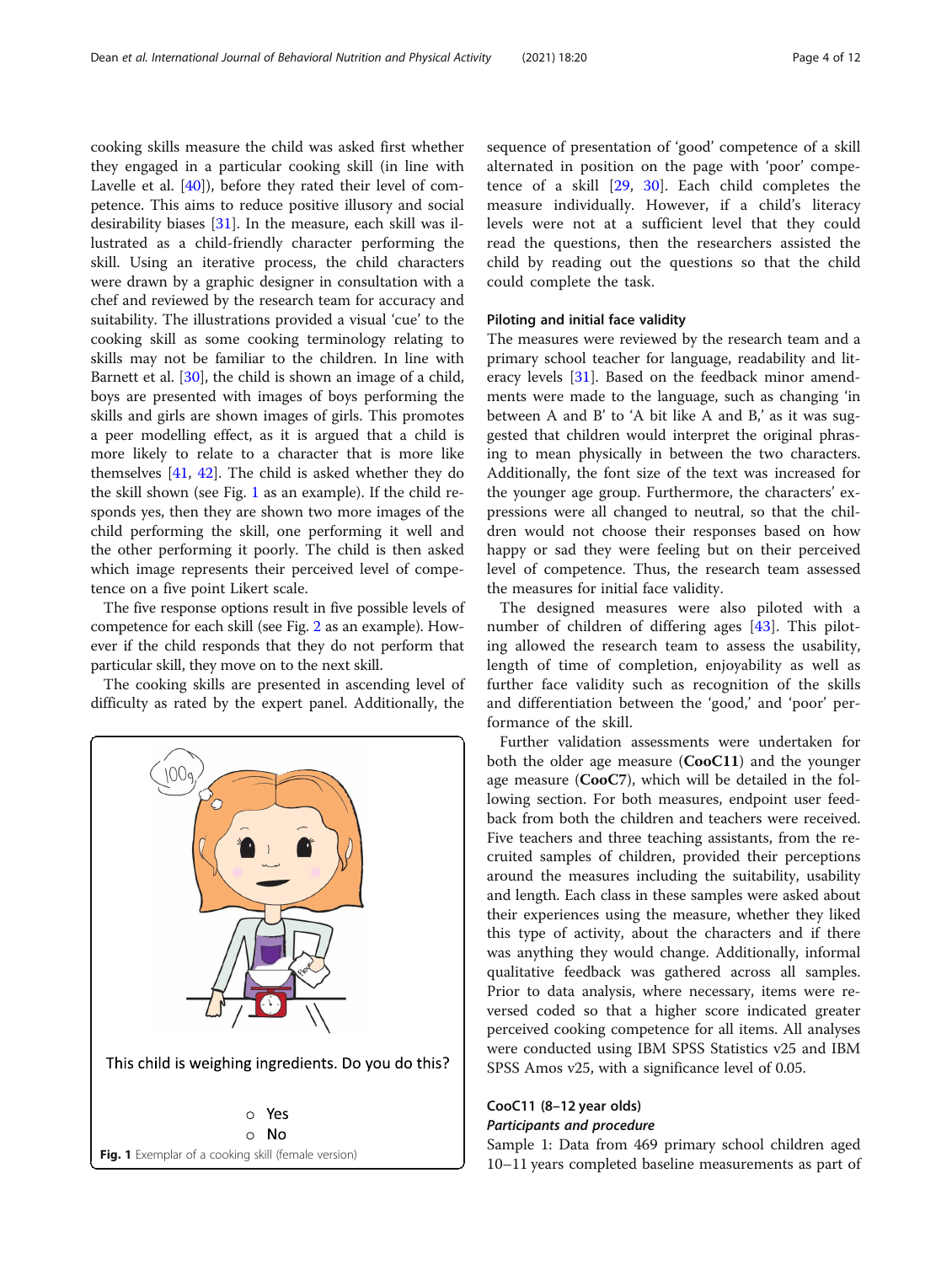cooking skills measure the child was asked first whether they engaged in a particular cooking skill (in line with Lavelle et al. [[40\]](#page-11-0)), before they rated their level of competence. This aims to reduce positive illusory and social desirability biases [\[31\]](#page-11-0). In the measure, each skill was illustrated as a child-friendly character performing the skill. Using an iterative process, the child characters were drawn by a graphic designer in consultation with a chef and reviewed by the research team for accuracy and suitability. The illustrations provided a visual 'cue' to the cooking skill as some cooking terminology relating to skills may not be familiar to the children. In line with Barnett et al. [\[30](#page-11-0)], the child is shown an image of a child, boys are presented with images of boys performing the skills and girls are shown images of girls. This promotes a peer modelling effect, as it is argued that a child is more likely to relate to a character that is more like themselves [[41,](#page-11-0) [42](#page-11-0)]. The child is asked whether they do the skill shown (see Fig. 1 as an example). If the child responds yes, then they are shown two more images of the child performing the skill, one performing it well and the other performing it poorly. The child is then asked which image represents their perceived level of competence on a five point Likert scale.

The five response options result in five possible levels of competence for each skill (see Fig. [2](#page-4-0) as an example). However if the child responds that they do not perform that particular skill, they move on to the next skill.

The cooking skills are presented in ascending level of difficulty as rated by the expert panel. Additionally, the



sequence of presentation of 'good' competence of a skill alternated in position on the page with 'poor' competence of a skill [\[29](#page-11-0), [30\]](#page-11-0). Each child completes the measure individually. However, if a child's literacy levels were not at a sufficient level that they could read the questions, then the researchers assisted the child by reading out the questions so that the child could complete the task.

#### Piloting and initial face validity

The measures were reviewed by the research team and a primary school teacher for language, readability and literacy levels [[31](#page-11-0)]. Based on the feedback minor amendments were made to the language, such as changing 'in between A and B' to 'A bit like A and B,' as it was suggested that children would interpret the original phrasing to mean physically in between the two characters. Additionally, the font size of the text was increased for the younger age group. Furthermore, the characters' expressions were all changed to neutral, so that the children would not choose their responses based on how happy or sad they were feeling but on their perceived level of competence. Thus, the research team assessed the measures for initial face validity.

The designed measures were also piloted with a number of children of differing ages [\[43](#page-11-0)]. This piloting allowed the research team to assess the usability, length of time of completion, enjoyability as well as further face validity such as recognition of the skills and differentiation between the 'good,' and 'poor' performance of the skill.

Further validation assessments were undertaken for both the older age measure (**CooC11**) and the younger age measure (CooC7), which will be detailed in the following section. For both measures, endpoint user feedback from both the children and teachers were received. Five teachers and three teaching assistants, from the recruited samples of children, provided their perceptions around the measures including the suitability, usability and length. Each class in these samples were asked about their experiences using the measure, whether they liked this type of activity, about the characters and if there was anything they would change. Additionally, informal qualitative feedback was gathered across all samples. Prior to data analysis, where necessary, items were reversed coded so that a higher score indicated greater perceived cooking competence for all items. All analyses were conducted using IBM SPSS Statistics v25 and IBM SPSS Amos v25, with a significance level of 0.05.

### CooC11 (8–12 year olds)

Participants and procedure

Sample 1: Data from 469 primary school children aged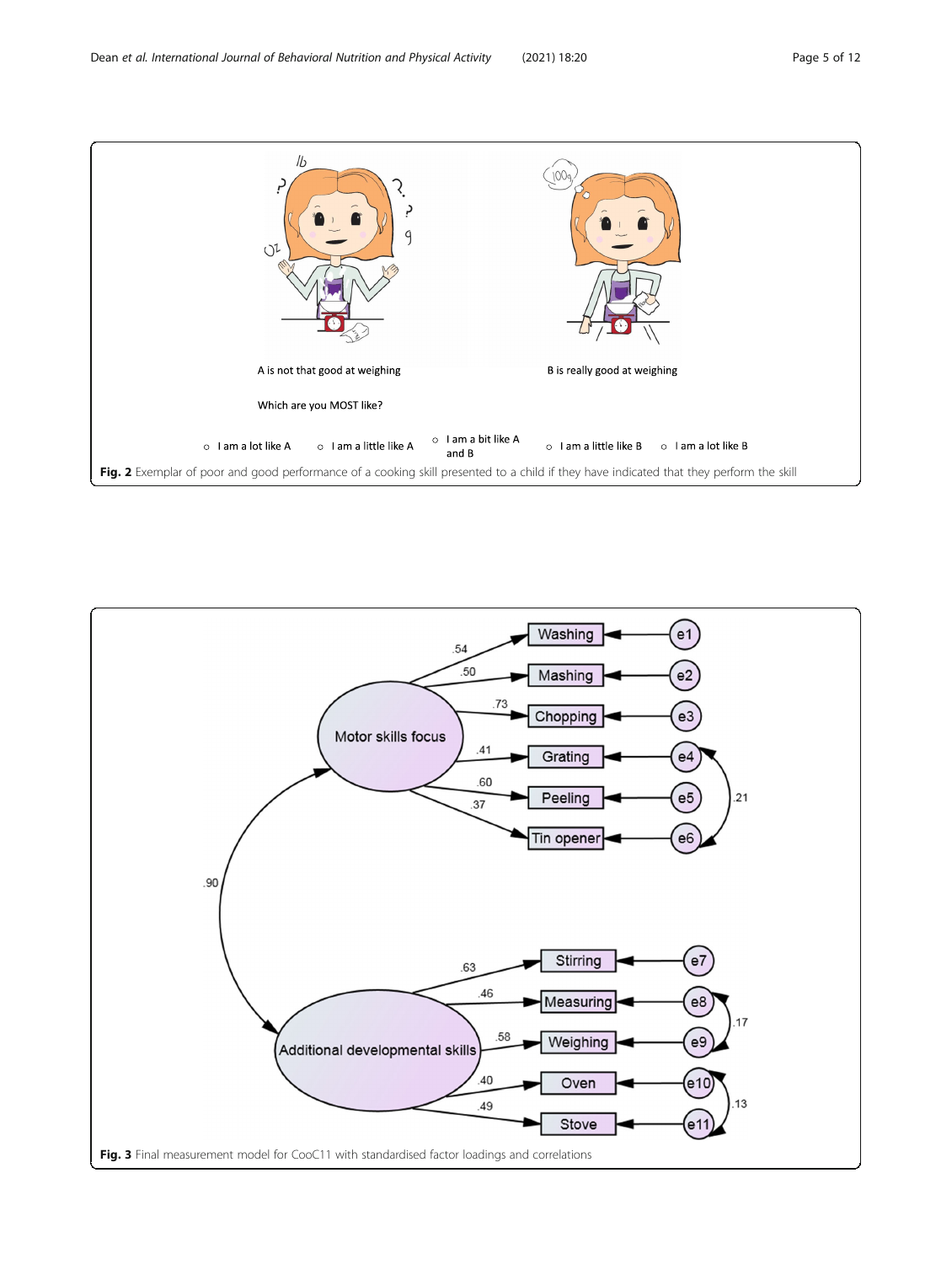<span id="page-4-0"></span>

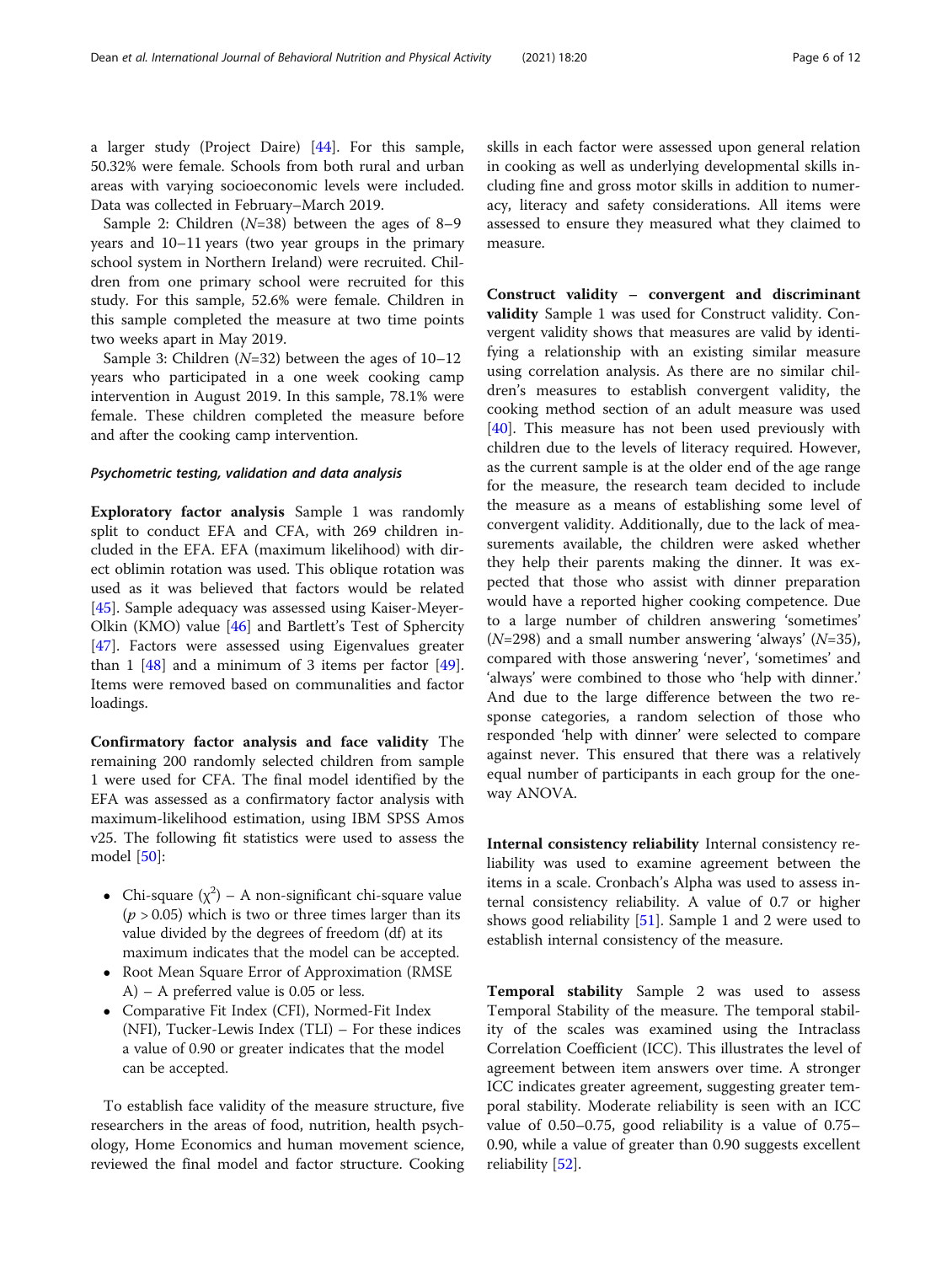a larger study (Project Daire) [[44](#page-11-0)]. For this sample, 50.32% were female. Schools from both rural and urban areas with varying socioeconomic levels were included. Data was collected in February–March 2019.

Sample 2: Children (N=38) between the ages of 8–<sup>9</sup> years and 10–11 years (two year groups in the primary school system in Northern Ireland) were recruited. Children from one primary school were recruited for this study. For this sample, 52.6% were female. Children in this sample completed the measure at two time points two weeks apart in May 2019.

Sample 3: Children  $(N=32)$  between the ages of  $10-12$ years who participated in a one week cooking camp intervention in August 2019. In this sample, 78.1% were female. These children completed the measure before and after the cooking camp intervention.

#### Psychometric testing, validation and data analysis

Exploratory factor analysis Sample 1 was randomly split to conduct EFA and CFA, with 269 children included in the EFA. EFA (maximum likelihood) with direct oblimin rotation was used. This oblique rotation was used as it was believed that factors would be related [[45\]](#page-11-0). Sample adequacy was assessed using Kaiser-Meyer-Olkin (KMO) value [[46](#page-11-0)] and Bartlett's Test of Sphercity [[47\]](#page-11-0). Factors were assessed using Eigenvalues greater than 1  $[48]$  and a minimum of 3 items per factor  $[49]$  $[49]$ . Items were removed based on communalities and factor loadings.

Confirmatory factor analysis and face validity The remaining 200 randomly selected children from sample 1 were used for CFA. The final model identified by the EFA was assessed as a confirmatory factor analysis with maximum-likelihood estimation, using IBM SPSS Amos v25. The following fit statistics were used to assess the model [\[50](#page-11-0)]:

- Chi-square  $(\chi^2)$  A non-significant chi-square value  $(p > 0.05)$  which is two or three times larger than its value divided by the degrees of freedom (df) at its maximum indicates that the model can be accepted.
- Root Mean Square Error of Approximation (RMSE) A) – A preferred value is 0.05 or less.
- Comparative Fit Index (CFI), Normed-Fit Index (NFI), Tucker-Lewis Index (TLI) – For these indices a value of 0.90 or greater indicates that the model can be accepted.

To establish face validity of the measure structure, five researchers in the areas of food, nutrition, health psychology, Home Economics and human movement science, reviewed the final model and factor structure. Cooking skills in each factor were assessed upon general relation in cooking as well as underlying developmental skills including fine and gross motor skills in addition to numeracy, literacy and safety considerations. All items were assessed to ensure they measured what they claimed to measure.

Construct validity – convergent and discriminant validity Sample 1 was used for Construct validity. Convergent validity shows that measures are valid by identifying a relationship with an existing similar measure using correlation analysis. As there are no similar children's measures to establish convergent validity, the cooking method section of an adult measure was used [[40\]](#page-11-0). This measure has not been used previously with children due to the levels of literacy required. However, as the current sample is at the older end of the age range for the measure, the research team decided to include the measure as a means of establishing some level of convergent validity. Additionally, due to the lack of measurements available, the children were asked whether they help their parents making the dinner. It was expected that those who assist with dinner preparation would have a reported higher cooking competence. Due to a large number of children answering 'sometimes'  $(N=298)$  and a small number answering 'always'  $(N=35)$ , compared with those answering 'never', 'sometimes' and 'always' were combined to those who 'help with dinner.' And due to the large difference between the two response categories, a random selection of those who responded 'help with dinner' were selected to compare against never. This ensured that there was a relatively equal number of participants in each group for the oneway ANOVA.

Internal consistency reliability Internal consistency reliability was used to examine agreement between the items in a scale. Cronbach's Alpha was used to assess internal consistency reliability. A value of 0.7 or higher shows good reliability [\[51](#page-11-0)]. Sample 1 and 2 were used to establish internal consistency of the measure.

Temporal stability Sample 2 was used to assess Temporal Stability of the measure. The temporal stability of the scales was examined using the Intraclass Correlation Coefficient (ICC). This illustrates the level of agreement between item answers over time. A stronger ICC indicates greater agreement, suggesting greater temporal stability. Moderate reliability is seen with an ICC value of 0.50–0.75, good reliability is a value of 0.75– 0.90, while a value of greater than 0.90 suggests excellent reliability [[52\]](#page-11-0).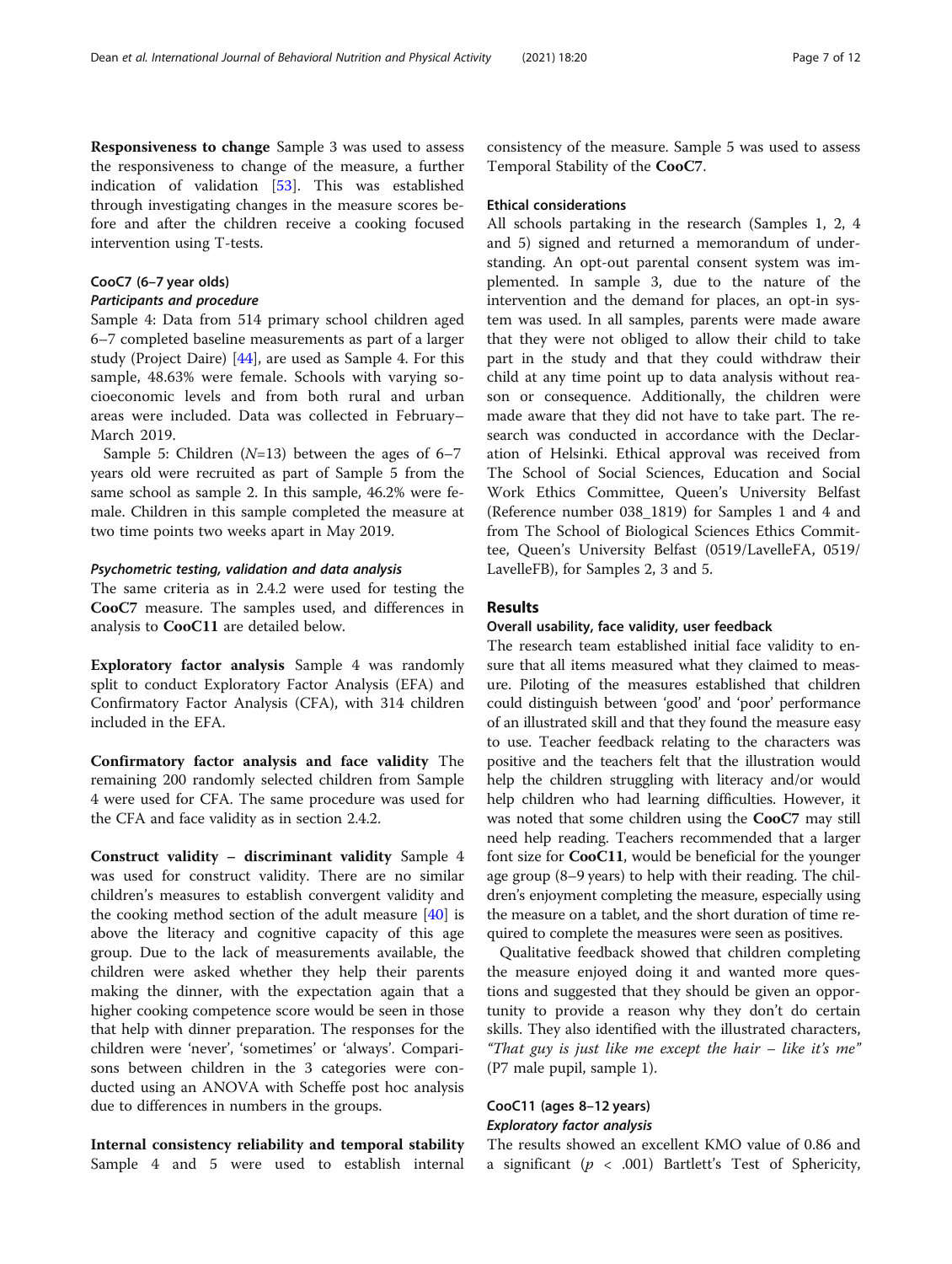Responsiveness to change Sample 3 was used to assess the responsiveness to change of the measure, a further indication of validation [\[53\]](#page-11-0). This was established through investigating changes in the measure scores before and after the children receive a cooking focused intervention using T-tests.

### CooC7 (6–7 year olds)

Participants and procedure

Sample 4: Data from 514 primary school children aged 6–7 completed baseline measurements as part of a larger study (Project Daire) [\[44](#page-11-0)], are used as Sample 4. For this sample, 48.63% were female. Schools with varying socioeconomic levels and from both rural and urban areas were included. Data was collected in February– March 2019.

Sample 5: Children  $(N=13)$  between the ages of 6–7 years old were recruited as part of Sample 5 from the same school as sample 2. In this sample, 46.2% were female. Children in this sample completed the measure at two time points two weeks apart in May 2019.

#### Psychometric testing, validation and data analysis

The same criteria as in 2.4.2 were used for testing the CooC7 measure. The samples used, and differences in analysis to CooC11 are detailed below.

Exploratory factor analysis Sample 4 was randomly split to conduct Exploratory Factor Analysis (EFA) and Confirmatory Factor Analysis (CFA), with 314 children included in the EFA.

Confirmatory factor analysis and face validity The remaining 200 randomly selected children from Sample 4 were used for CFA. The same procedure was used for the CFA and face validity as in section 2.4.2.

Construct validity – discriminant validity Sample 4 was used for construct validity. There are no similar children's measures to establish convergent validity and the cooking method section of the adult measure [[40\]](#page-11-0) is above the literacy and cognitive capacity of this age group. Due to the lack of measurements available, the children were asked whether they help their parents making the dinner, with the expectation again that a higher cooking competence score would be seen in those that help with dinner preparation. The responses for the children were 'never', 'sometimes' or 'always'. Comparisons between children in the 3 categories were conducted using an ANOVA with Scheffe post hoc analysis due to differences in numbers in the groups.

Internal consistency reliability and temporal stability Sample 4 and 5 were used to establish internal consistency of the measure. Sample 5 was used to assess Temporal Stability of the CooC7.

#### Ethical considerations

All schools partaking in the research (Samples 1, 2, 4 and 5) signed and returned a memorandum of understanding. An opt-out parental consent system was implemented. In sample 3, due to the nature of the intervention and the demand for places, an opt-in system was used. In all samples, parents were made aware that they were not obliged to allow their child to take part in the study and that they could withdraw their child at any time point up to data analysis without reason or consequence. Additionally, the children were made aware that they did not have to take part. The research was conducted in accordance with the Declaration of Helsinki. Ethical approval was received from The School of Social Sciences, Education and Social Work Ethics Committee, Queen's University Belfast (Reference number 038\_1819) for Samples 1 and 4 and from The School of Biological Sciences Ethics Committee, Queen's University Belfast (0519/LavelleFA, 0519/ LavelleFB), for Samples 2, 3 and 5.

#### Results

#### Overall usability, face validity, user feedback

The research team established initial face validity to ensure that all items measured what they claimed to measure. Piloting of the measures established that children could distinguish between 'good' and 'poor' performance of an illustrated skill and that they found the measure easy to use. Teacher feedback relating to the characters was positive and the teachers felt that the illustration would help the children struggling with literacy and/or would help children who had learning difficulties. However, it was noted that some children using the CooC7 may still need help reading. Teachers recommended that a larger font size for CooC11, would be beneficial for the younger age group (8–9 years) to help with their reading. The children's enjoyment completing the measure, especially using the measure on a tablet, and the short duration of time required to complete the measures were seen as positives.

Qualitative feedback showed that children completing the measure enjoyed doing it and wanted more questions and suggested that they should be given an opportunity to provide a reason why they don't do certain skills. They also identified with the illustrated characters, "That guy is just like me except the hair – like it's me" (P7 male pupil, sample 1).

#### CooC11 (ages 8–12 years) Exploratory factor analysis

The results showed an excellent KMO value of 0.86 and a significant ( $p < .001$ ) Bartlett's Test of Sphericity,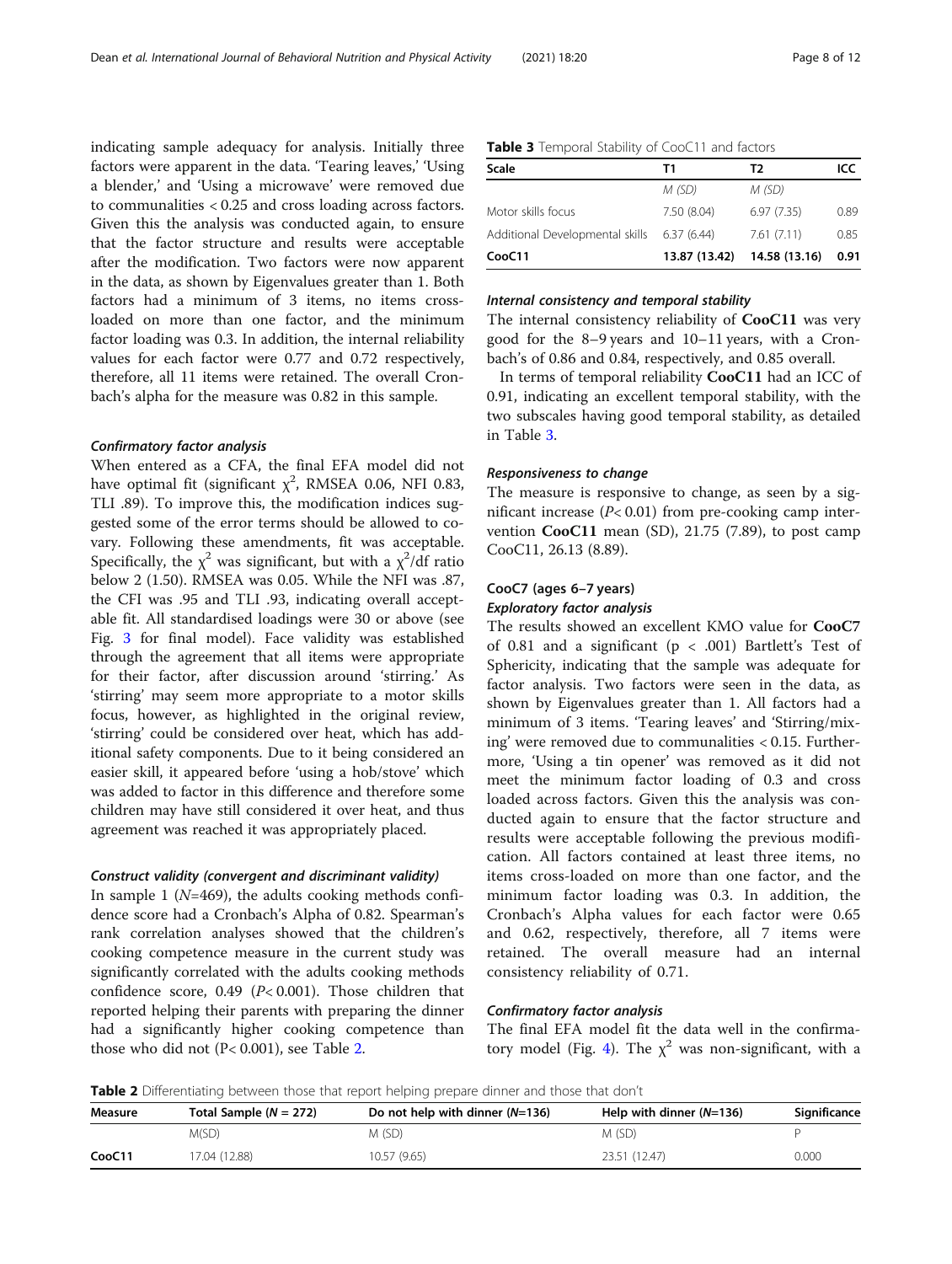indicating sample adequacy for analysis. Initially three factors were apparent in the data. 'Tearing leaves,' 'Using a blender,' and 'Using a microwave' were removed due to communalities < 0.25 and cross loading across factors. Given this the analysis was conducted again, to ensure that the factor structure and results were acceptable after the modification. Two factors were now apparent in the data, as shown by Eigenvalues greater than 1. Both factors had a minimum of 3 items, no items crossloaded on more than one factor, and the minimum factor loading was 0.3. In addition, the internal reliability values for each factor were 0.77 and 0.72 respectively, therefore, all 11 items were retained. The overall Cronbach's alpha for the measure was 0.82 in this sample.

#### Confirmatory factor analysis

When entered as a CFA, the final EFA model did not have optimal fit (significant  $\chi^2$ , RMSEA 0.06, NFI 0.83, TLI .89). To improve this, the modification indices suggested some of the error terms should be allowed to covary. Following these amendments, fit was acceptable. Specifically, the  $\chi^2$  was significant, but with a  $\chi^2/df$  ratio below 2 (1.50). RMSEA was 0.05. While the NFI was .87, the CFI was .95 and TLI .93, indicating overall acceptable fit. All standardised loadings were 30 or above (see Fig. [3](#page-4-0) for final model). Face validity was established through the agreement that all items were appropriate for their factor, after discussion around 'stirring.' As 'stirring' may seem more appropriate to a motor skills focus, however, as highlighted in the original review, 'stirring' could be considered over heat, which has additional safety components. Due to it being considered an easier skill, it appeared before 'using a hob/stove' which was added to factor in this difference and therefore some children may have still considered it over heat, and thus agreement was reached it was appropriately placed.

#### Construct validity (convergent and discriminant validity)

In sample 1 ( $N=469$ ), the adults cooking methods confidence score had a Cronbach's Alpha of 0.82. Spearman's rank correlation analyses showed that the children's cooking competence measure in the current study was significantly correlated with the adults cooking methods confidence score, 0.49 ( $P$ < 0.001). Those children that reported helping their parents with preparing the dinner had a significantly higher cooking competence than those who did not (P< 0.001), see Table 2.

| Table 3 Temporal Stability of CooC11 and factors |
|--------------------------------------------------|
|--------------------------------------------------|

| Scale                                       | Τ1            | T2            | ICC  |
|---------------------------------------------|---------------|---------------|------|
|                                             | M (SD)        | M (SD)        |      |
| Motor skills focus                          | 7.50 (8.04)   | 6.97(7.35)    | 0.89 |
| Additional Developmental skills 6.37 (6.44) |               | 7.61(7.11)    | 0.85 |
| CooC11                                      | 13.87 (13.42) | 14.58 (13.16) | 0.91 |

#### Internal consistency and temporal stability

The internal consistency reliability of CooC11 was very good for the 8–9 years and 10–11 years, with a Cronbach's of 0.86 and 0.84, respectively, and 0.85 overall.

In terms of temporal reliability **CooC11** had an ICC of 0.91, indicating an excellent temporal stability, with the two subscales having good temporal stability, as detailed in Table 3.

#### Responsiveness to change

The measure is responsive to change, as seen by a significant increase  $(P< 0.01)$  from pre-cooking camp intervention  $CooC11$  mean (SD), 21.75 (7.89), to post camp CooC11, 26.13 (8.89).

## CooC7 (ages 6–7 years)

#### Exploratory factor analysis

The results showed an excellent KMO value for CooC7 of 0.81 and a significant (p < .001) Bartlett's Test of Sphericity, indicating that the sample was adequate for factor analysis. Two factors were seen in the data, as shown by Eigenvalues greater than 1. All factors had a minimum of 3 items. 'Tearing leaves' and 'Stirring/mixing' were removed due to communalities < 0.15. Furthermore, 'Using a tin opener' was removed as it did not meet the minimum factor loading of 0.3 and cross loaded across factors. Given this the analysis was conducted again to ensure that the factor structure and results were acceptable following the previous modification. All factors contained at least three items, no items cross-loaded on more than one factor, and the minimum factor loading was 0.3. In addition, the Cronbach's Alpha values for each factor were 0.65 and 0.62, respectively, therefore, all 7 items were retained. The overall measure had an internal consistency reliability of 0.71.

#### Confirmatory factor analysis

The final EFA model fit the data well in the confirma-tory model (Fig. [4](#page-8-0)). The  $\chi^2$  was non-significant, with a

**Table 2** Differentiating between those that report helping prepare dinner and those that don't

| <b>Measure</b> | Total Sample ( $N = 272$ ) | Do not help with dinner $(N=136)$ | Help with dinner $(N=136)$ | Significance |
|----------------|----------------------------|-----------------------------------|----------------------------|--------------|
|                | M(SD)                      | M (SD)                            | M (SD)                     |              |
| CooC11         | 17.04 (12.88)              | 10.57 (9.65)                      | 23.51 (12.47)              | 0.000        |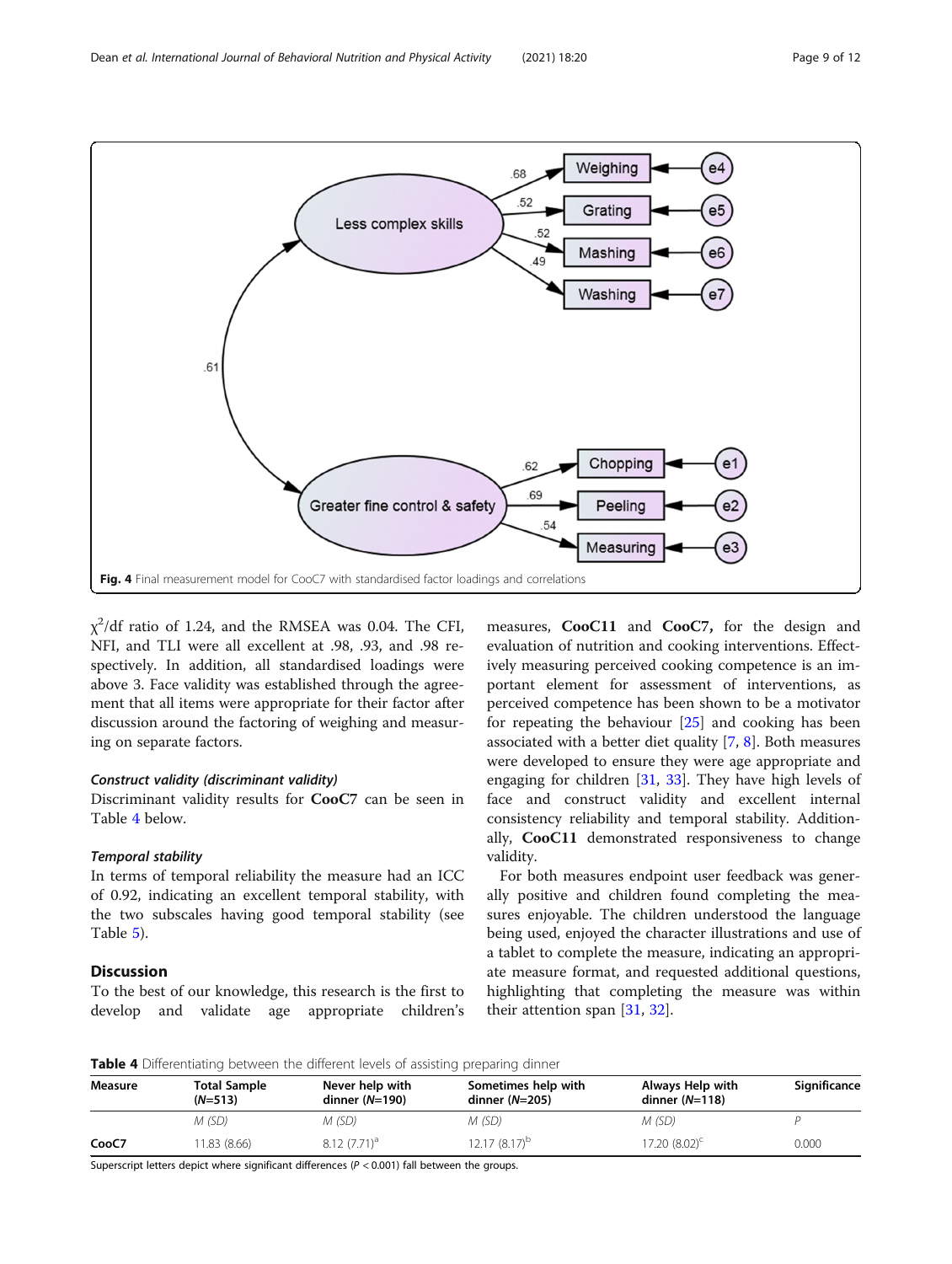<span id="page-8-0"></span>

 $\chi^2$ /df ratio of 1.24, and the RMSEA was 0.04. The CFI, NFI, and TLI were all excellent at .98, .93, and .98 respectively. In addition, all standardised loadings were above 3. Face validity was established through the agreement that all items were appropriate for their factor after discussion around the factoring of weighing and measuring on separate factors.

#### Construct validity (discriminant validity)

Discriminant validity results for CooC7 can be seen in Table 4 below.

#### Temporal stability

In terms of temporal reliability the measure had an ICC of 0.92, indicating an excellent temporal stability, with the two subscales having good temporal stability (see Table [5\)](#page-9-0).

#### Discussion

To the best of our knowledge, this research is the first to develop and validate age appropriate children's

measures, CooC11 and CooC7, for the design and evaluation of nutrition and cooking interventions. Effectively measuring perceived cooking competence is an important element for assessment of interventions, as perceived competence has been shown to be a motivator for repeating the behaviour [\[25\]](#page-11-0) and cooking has been associated with a better diet quality [\[7](#page-10-0), [8](#page-10-0)]. Both measures were developed to ensure they were age appropriate and engaging for children [[31,](#page-11-0) [33\]](#page-11-0). They have high levels of face and construct validity and excellent internal consistency reliability and temporal stability. Additionally, CooC11 demonstrated responsiveness to change validity.

For both measures endpoint user feedback was generally positive and children found completing the measures enjoyable. The children understood the language being used, enjoyed the character illustrations and use of a tablet to complete the measure, indicating an appropriate measure format, and requested additional questions, highlighting that completing the measure was within their attention span [\[31](#page-11-0), [32](#page-11-0)].

Table 4 Differentiating between the different levels of assisting preparing dinner

| Measure | <b>Total Sample</b><br>$(N=513)$ | Never help with<br>dinner $(N=190)$ | Sometimes help with<br>dinner $(N=205)$ | Always Help with<br>dinner $(N=118)$ | Significance |
|---------|----------------------------------|-------------------------------------|-----------------------------------------|--------------------------------------|--------------|
|         | M (SD)                           | M (SD)                              | M (SD)                                  | M (SD)                               |              |
| CooC7   | 11.83 (8.66)                     | $8.12(7.71)^a$                      | $12.17(8.17)^b$                         | $17.20(8.02)^c$                      | 0.000        |

Superscript letters depict where significant differences ( $P < 0.001$ ) fall between the groups.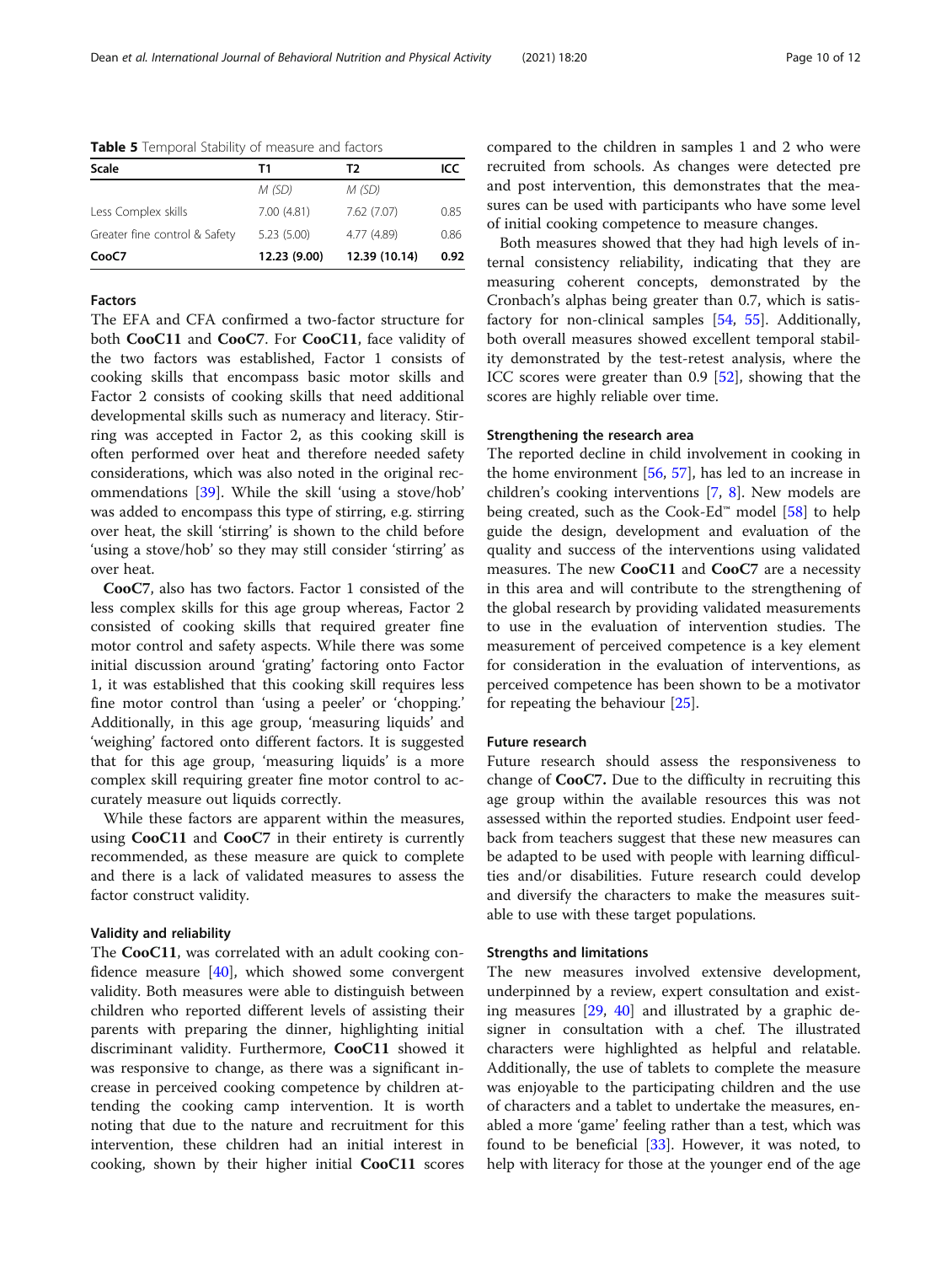| <b>Scale</b>                  | Т1           | Т2            | ICC  |
|-------------------------------|--------------|---------------|------|
|                               | M (SD)       | M (SD)        |      |
| Less Complex skills           | 7.00(4.81)   | 7.62 (7.07)   | 0.85 |
| Greater fine control & Safety | 5.23(5.00)   | 4.77 (4.89)   | 0.86 |
| CooC7                         | 12.23 (9.00) | 12.39 (10.14) | 0.92 |

<span id="page-9-0"></span>Table 5 Temporal Stability of measure and factors

#### Factors

The EFA and CFA confirmed a two-factor structure for both CooC11 and CooC7. For CooC11, face validity of the two factors was established, Factor 1 consists of cooking skills that encompass basic motor skills and Factor 2 consists of cooking skills that need additional developmental skills such as numeracy and literacy. Stirring was accepted in Factor 2, as this cooking skill is often performed over heat and therefore needed safety considerations, which was also noted in the original recommendations [\[39\]](#page-11-0). While the skill 'using a stove/hob' was added to encompass this type of stirring, e.g. stirring over heat, the skill 'stirring' is shown to the child before 'using a stove/hob' so they may still consider 'stirring' as over heat.

CooC7, also has two factors. Factor 1 consisted of the less complex skills for this age group whereas, Factor 2 consisted of cooking skills that required greater fine motor control and safety aspects. While there was some initial discussion around 'grating' factoring onto Factor 1, it was established that this cooking skill requires less fine motor control than 'using a peeler' or 'chopping.' Additionally, in this age group, 'measuring liquids' and 'weighing' factored onto different factors. It is suggested that for this age group, 'measuring liquids' is a more complex skill requiring greater fine motor control to accurately measure out liquids correctly.

While these factors are apparent within the measures, using CooC11 and CooC7 in their entirety is currently recommended, as these measure are quick to complete and there is a lack of validated measures to assess the factor construct validity.

#### Validity and reliability

The CooC11, was correlated with an adult cooking confidence measure  $[40]$  $[40]$ , which showed some convergent validity. Both measures were able to distinguish between children who reported different levels of assisting their parents with preparing the dinner, highlighting initial discriminant validity. Furthermore, CooC11 showed it was responsive to change, as there was a significant increase in perceived cooking competence by children attending the cooking camp intervention. It is worth noting that due to the nature and recruitment for this intervention, these children had an initial interest in cooking, shown by their higher initial CooC11 scores compared to the children in samples 1 and 2 who were recruited from schools. As changes were detected pre and post intervention, this demonstrates that the measures can be used with participants who have some level of initial cooking competence to measure changes.

Both measures showed that they had high levels of internal consistency reliability, indicating that they are measuring coherent concepts, demonstrated by the Cronbach's alphas being greater than 0.7, which is satisfactory for non-clinical samples [[54,](#page-11-0) [55\]](#page-11-0). Additionally, both overall measures showed excellent temporal stability demonstrated by the test-retest analysis, where the ICC scores were greater than 0.9 [[52\]](#page-11-0), showing that the scores are highly reliable over time.

#### Strengthening the research area

The reported decline in child involvement in cooking in the home environment [\[56](#page-11-0), [57](#page-11-0)], has led to an increase in children's cooking interventions [[7,](#page-10-0) [8\]](#page-10-0). New models are being created, such as the Cook-Ed<sup>™</sup> model [[58\]](#page-11-0) to help guide the design, development and evaluation of the quality and success of the interventions using validated measures. The new CooC11 and CooC7 are a necessity in this area and will contribute to the strengthening of the global research by providing validated measurements to use in the evaluation of intervention studies. The measurement of perceived competence is a key element for consideration in the evaluation of interventions, as perceived competence has been shown to be a motivator for repeating the behaviour [[25](#page-11-0)].

#### Future research

Future research should assess the responsiveness to change of CooC7. Due to the difficulty in recruiting this age group within the available resources this was not assessed within the reported studies. Endpoint user feedback from teachers suggest that these new measures can be adapted to be used with people with learning difficulties and/or disabilities. Future research could develop and diversify the characters to make the measures suitable to use with these target populations.

#### Strengths and limitations

The new measures involved extensive development, underpinned by a review, expert consultation and existing measures [[29,](#page-11-0) [40](#page-11-0)] and illustrated by a graphic designer in consultation with a chef. The illustrated characters were highlighted as helpful and relatable. Additionally, the use of tablets to complete the measure was enjoyable to the participating children and the use of characters and a tablet to undertake the measures, enabled a more 'game' feeling rather than a test, which was found to be beneficial [[33\]](#page-11-0). However, it was noted, to help with literacy for those at the younger end of the age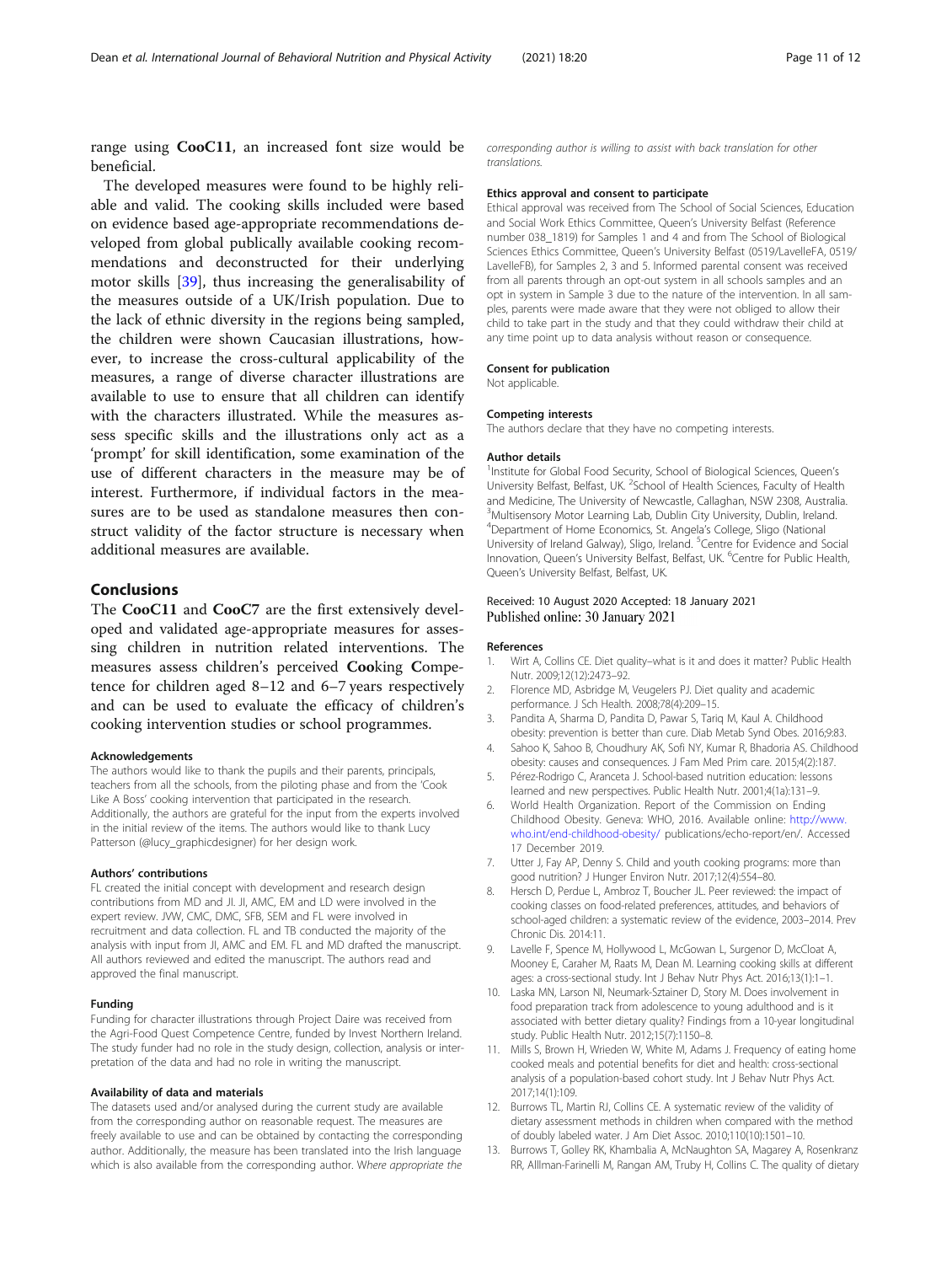<span id="page-10-0"></span>range using CooC11, an increased font size would be beneficial.

The developed measures were found to be highly reliable and valid. The cooking skills included were based on evidence based age-appropriate recommendations developed from global publically available cooking recommendations and deconstructed for their underlying motor skills [[39\]](#page-11-0), thus increasing the generalisability of the measures outside of a UK/Irish population. Due to the lack of ethnic diversity in the regions being sampled, the children were shown Caucasian illustrations, however, to increase the cross-cultural applicability of the measures, a range of diverse character illustrations are available to use to ensure that all children can identify with the characters illustrated. While the measures assess specific skills and the illustrations only act as a 'prompt' for skill identification, some examination of the use of different characters in the measure may be of interest. Furthermore, if individual factors in the measures are to be used as standalone measures then construct validity of the factor structure is necessary when additional measures are available.

#### Conclusions

The CooC11 and CooC7 are the first extensively developed and validated age-appropriate measures for assessing children in nutrition related interventions. The measures assess children's perceived Cooking Competence for children aged 8–12 and 6–7 years respectively and can be used to evaluate the efficacy of children's cooking intervention studies or school programmes.

#### Acknowledgements

The authors would like to thank the pupils and their parents, principals, teachers from all the schools, from the piloting phase and from the 'Cook Like A Boss' cooking intervention that participated in the research. Additionally, the authors are grateful for the input from the experts involved in the initial review of the items. The authors would like to thank Lucy Patterson (@lucy\_graphicdesigner) for her design work.

#### Authors' contributions

FL created the initial concept with development and research design contributions from MD and JI. JI, AMC, EM and LD were involved in the expert review. JVW, CMC, DMC, SFB, SEM and FL were involved in recruitment and data collection. FL and TB conducted the majority of the analysis with input from JI, AMC and EM. FL and MD drafted the manuscript. All authors reviewed and edited the manuscript. The authors read and approved the final manuscript.

#### Funding

Funding for character illustrations through Project Daire was received from the Agri-Food Quest Competence Centre, funded by Invest Northern Ireland. The study funder had no role in the study design, collection, analysis or interpretation of the data and had no role in writing the manuscript.

#### Availability of data and materials

The datasets used and/or analysed during the current study are available from the corresponding author on reasonable request. The measures are freely available to use and can be obtained by contacting the corresponding author. Additionally, the measure has been translated into the Irish language which is also available from the corresponding author. Where appropriate the corresponding author is willing to assist with back translation for other translations.

#### Ethics approval and consent to participate

Ethical approval was received from The School of Social Sciences, Education and Social Work Ethics Committee, Queen's University Belfast (Reference number 038\_1819) for Samples 1 and 4 and from The School of Biological Sciences Ethics Committee, Queen's University Belfast (0519/LavelleFA, 0519/ LavelleFB), for Samples 2, 3 and 5. Informed parental consent was received from all parents through an opt-out system in all schools samples and an opt in system in Sample 3 due to the nature of the intervention. In all samples, parents were made aware that they were not obliged to allow their child to take part in the study and that they could withdraw their child at any time point up to data analysis without reason or consequence.

#### Consent for publication

Not applicable.

#### Competing interests

The authors declare that they have no competing interests.

#### Author details

<sup>1</sup>Institute for Global Food Security, School of Biological Sciences, Queen's University Belfast, Belfast, UK. <sup>2</sup>School of Health Sciences, Faculty of Health and Medicine, The University of Newcastle, Callaghan, NSW 2308, Australia. <sup>3</sup>Multisensory Motor Learning Lab, Dublin City University, Dublin, Ireland 4 Department of Home Economics, St. Angela's College, Sligo (National University of Ireland Galway), Sligo, Ireland. <sup>5</sup>Centre for Evidence and Social Innovation, Queen's University Belfast, Belfast, UK. <sup>6</sup>Centre for Public Health Queen's University Belfast, Belfast, UK.

#### Received: 10 August 2020 Accepted: 18 January 2021 Published online: 30 January 2021

#### References

- 1. Wirt A, Collins CE. Diet quality–what is it and does it matter? Public Health Nutr. 2009;12(12):2473–92.
- 2. Florence MD, Asbridge M, Veugelers PJ. Diet quality and academic performance. J Sch Health. 2008;78(4):209–15.
- 3. Pandita A, Sharma D, Pandita D, Pawar S, Tariq M, Kaul A. Childhood obesity: prevention is better than cure. Diab Metab Synd Obes. 2016;9:83.
- 4. Sahoo K, Sahoo B, Choudhury AK, Sofi NY, Kumar R, Bhadoria AS. Childhood obesity: causes and consequences. J Fam Med Prim care. 2015;4(2):187.
- 5. Pérez-Rodrigo C, Aranceta J. School-based nutrition education: lessons learned and new perspectives. Public Health Nutr. 2001;4(1a):131–9.
- 6. World Health Organization. Report of the Commission on Ending Childhood Obesity. Geneva: WHO, 2016. Available online: [http://www.](http://www.who.int/end-childhood-obesity/) [who.int/end-childhood-obesity/](http://www.who.int/end-childhood-obesity/) publications/echo-report/en/. Accessed 17 December 2019.
- 7. Utter J, Fay AP, Denny S. Child and youth cooking programs: more than good nutrition? J Hunger Environ Nutr. 2017;12(4):554–80.
- 8. Hersch D, Perdue L, Ambroz T, Boucher JL. Peer reviewed: the impact of cooking classes on food-related preferences, attitudes, and behaviors of school-aged children: a systematic review of the evidence, 2003–2014. Prev Chronic Dis. 2014:11.
- Lavelle F, Spence M, Hollywood L, McGowan L, Surgenor D, McCloat A, Mooney E, Caraher M, Raats M, Dean M. Learning cooking skills at different ages: a cross-sectional study. Int J Behav Nutr Phys Act. 2016;13(1):1–1.
- 10. Laska MN, Larson NI, Neumark-Sztainer D, Story M. Does involvement in food preparation track from adolescence to young adulthood and is it associated with better dietary quality? Findings from a 10-year longitudinal study. Public Health Nutr. 2012;15(7):1150–8.
- 11. Mills S, Brown H, Wrieden W, White M, Adams J. Frequency of eating home cooked meals and potential benefits for diet and health: cross-sectional analysis of a population-based cohort study. Int J Behav Nutr Phys Act. 2017;14(1):109.
- 12. Burrows TL, Martin RJ, Collins CE. A systematic review of the validity of dietary assessment methods in children when compared with the method of doubly labeled water. J Am Diet Assoc. 2010;110(10):1501–10.
- 13. Burrows T, Golley RK, Khambalia A, McNaughton SA, Magarey A, Rosenkranz RR, Alllman-Farinelli M, Rangan AM, Truby H, Collins C. The quality of dietary